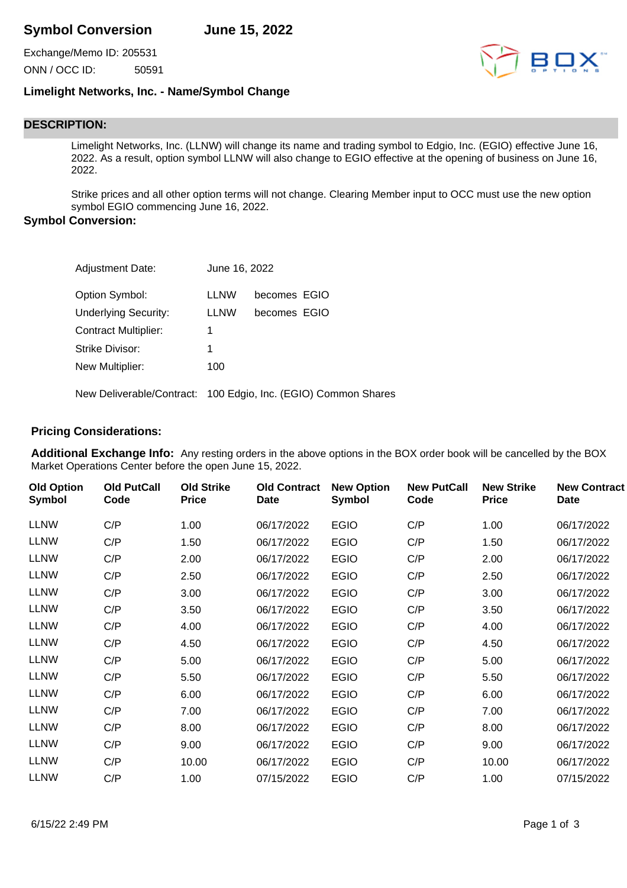# **Symbol Conversion June 15, 2022**

Exchange/Memo ID: 205531 ONN / OCC ID: 50591



## **Limelight Networks, Inc. - Name/Symbol Change**

# **DESCRIPTION:**

Limelight Networks, Inc. (LLNW) will change its name and trading symbol to Edgio, Inc. (EGIO) effective June 16, 2022. As a result, option symbol LLNW will also change to EGIO effective at the opening of business on June 16, 2022.

Strike prices and all other option terms will not change. Clearing Member input to OCC must use the new option symbol EGIO commencing June 16, 2022.

#### **Symbol Conversion:**

| <b>Adjustment Date:</b>     | June 16, 2022 |                                                                |
|-----------------------------|---------------|----------------------------------------------------------------|
| Option Symbol:              | <b>LLNW</b>   | becomes EGIO                                                   |
| <b>Underlying Security:</b> | <b>LLNW</b>   | becomes EGIO                                                   |
| <b>Contract Multiplier:</b> | 1             |                                                                |
| Strike Divisor:             | 1             |                                                                |
| New Multiplier:             | 100           |                                                                |
|                             |               | New Deliverable/Contract: 100 Edgio, Inc. (EGIO) Common Shares |

### **Pricing Considerations:**

**Additional Exchange Info:** Any resting orders in the above options in the BOX order book will be cancelled by the BOX Market Operations Center before the open June 15, 2022.

| <b>Old Option</b><br>Symbol | <b>Old PutCall</b><br>Code | <b>Old Strike</b><br><b>Price</b> | <b>Old Contract</b><br><b>Date</b> | <b>New Option</b><br>Symbol | <b>New PutCall</b><br>Code | <b>New Strike</b><br><b>Price</b> | <b>New Contract</b><br>Date |
|-----------------------------|----------------------------|-----------------------------------|------------------------------------|-----------------------------|----------------------------|-----------------------------------|-----------------------------|
| <b>LLNW</b>                 | C/P                        | 1.00                              | 06/17/2022                         | <b>EGIO</b>                 | C/P                        | 1.00                              | 06/17/2022                  |
| <b>LLNW</b>                 | C/P                        | 1.50                              | 06/17/2022                         | <b>EGIO</b>                 | C/P                        | 1.50                              | 06/17/2022                  |
| <b>LLNW</b>                 | C/P                        | 2.00                              | 06/17/2022                         | <b>EGIO</b>                 | C/P                        | 2.00                              | 06/17/2022                  |
| <b>LLNW</b>                 | C/P                        | 2.50                              | 06/17/2022                         | <b>EGIO</b>                 | C/P                        | 2.50                              | 06/17/2022                  |
| <b>LLNW</b>                 | C/P                        | 3.00                              | 06/17/2022                         | <b>EGIO</b>                 | C/P                        | 3.00                              | 06/17/2022                  |
| <b>LLNW</b>                 | C/P                        | 3.50                              | 06/17/2022                         | <b>EGIO</b>                 | C/P                        | 3.50                              | 06/17/2022                  |
| <b>LLNW</b>                 | C/P                        | 4.00                              | 06/17/2022                         | <b>EGIO</b>                 | C/P                        | 4.00                              | 06/17/2022                  |
| <b>LLNW</b>                 | C/P                        | 4.50                              | 06/17/2022                         | <b>EGIO</b>                 | C/P                        | 4.50                              | 06/17/2022                  |
| <b>LLNW</b>                 | C/P                        | 5.00                              | 06/17/2022                         | <b>EGIO</b>                 | C/P                        | 5.00                              | 06/17/2022                  |
| <b>LLNW</b>                 | C/P                        | 5.50                              | 06/17/2022                         | <b>EGIO</b>                 | C/P                        | 5.50                              | 06/17/2022                  |
| <b>LLNW</b>                 | C/P                        | 6.00                              | 06/17/2022                         | <b>EGIO</b>                 | C/P                        | 6.00                              | 06/17/2022                  |
| <b>LLNW</b>                 | C/P                        | 7.00                              | 06/17/2022                         | <b>EGIO</b>                 | C/P                        | 7.00                              | 06/17/2022                  |
| <b>LLNW</b>                 | C/P                        | 8.00                              | 06/17/2022                         | <b>EGIO</b>                 | C/P                        | 8.00                              | 06/17/2022                  |
| <b>LLNW</b>                 | C/P                        | 9.00                              | 06/17/2022                         | <b>EGIO</b>                 | C/P                        | 9.00                              | 06/17/2022                  |
| <b>LLNW</b>                 | C/P                        | 10.00                             | 06/17/2022                         | <b>EGIO</b>                 | C/P                        | 10.00                             | 06/17/2022                  |
| <b>LLNW</b>                 | C/P                        | 1.00                              | 07/15/2022                         | <b>EGIO</b>                 | C/P                        | 1.00                              | 07/15/2022                  |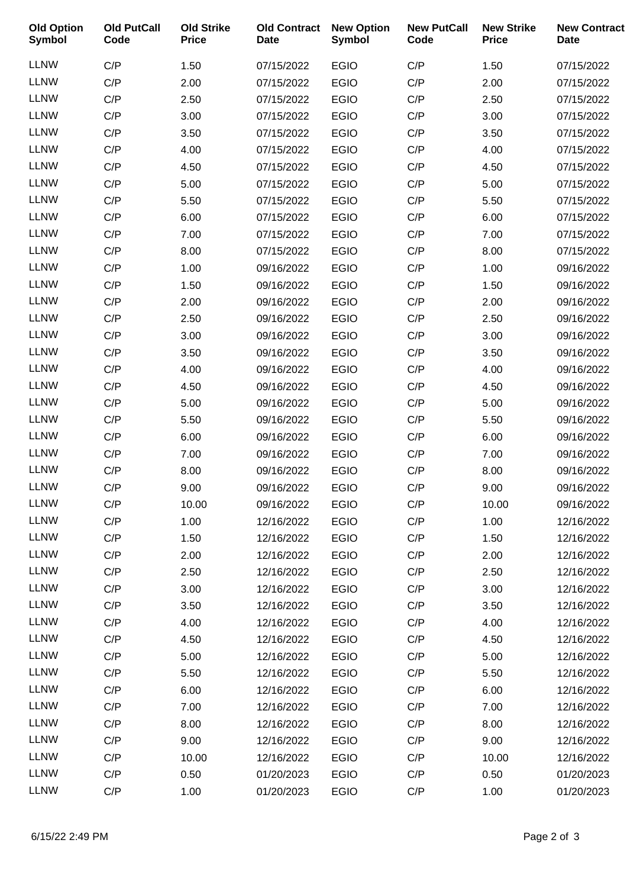| <b>Old Option</b><br><b>Symbol</b> | <b>Old PutCall</b><br>Code | <b>Old Strike</b><br><b>Price</b> | <b>Old Contract</b><br><b>Date</b> | <b>New Option</b><br><b>Symbol</b> | <b>New PutCall</b><br>Code | <b>New Strike</b><br><b>Price</b> | <b>New Contract</b><br><b>Date</b> |
|------------------------------------|----------------------------|-----------------------------------|------------------------------------|------------------------------------|----------------------------|-----------------------------------|------------------------------------|
| <b>LLNW</b>                        | C/P                        | 1.50                              | 07/15/2022                         | <b>EGIO</b>                        | C/P                        | 1.50                              | 07/15/2022                         |
| <b>LLNW</b>                        | C/P                        | 2.00                              | 07/15/2022                         | <b>EGIO</b>                        | C/P                        | 2.00                              | 07/15/2022                         |
| <b>LLNW</b>                        | C/P                        | 2.50                              | 07/15/2022                         | <b>EGIO</b>                        | C/P                        | 2.50                              | 07/15/2022                         |
| <b>LLNW</b>                        | C/P                        | 3.00                              | 07/15/2022                         | <b>EGIO</b>                        | C/P                        | 3.00                              | 07/15/2022                         |
| <b>LLNW</b>                        | C/P                        | 3.50                              | 07/15/2022                         | <b>EGIO</b>                        | C/P                        | 3.50                              | 07/15/2022                         |
| <b>LLNW</b>                        | C/P                        | 4.00                              | 07/15/2022                         | <b>EGIO</b>                        | C/P                        | 4.00                              | 07/15/2022                         |
| <b>LLNW</b>                        | C/P                        | 4.50                              | 07/15/2022                         | <b>EGIO</b>                        | C/P                        | 4.50                              | 07/15/2022                         |
| <b>LLNW</b>                        | C/P                        | 5.00                              | 07/15/2022                         | <b>EGIO</b>                        | C/P                        | 5.00                              | 07/15/2022                         |
| <b>LLNW</b>                        | C/P                        | 5.50                              | 07/15/2022                         | <b>EGIO</b>                        | C/P                        | 5.50                              | 07/15/2022                         |
| <b>LLNW</b>                        | C/P                        | 6.00                              | 07/15/2022                         | <b>EGIO</b>                        | C/P                        | 6.00                              | 07/15/2022                         |
| <b>LLNW</b>                        | C/P                        | 7.00                              | 07/15/2022                         | <b>EGIO</b>                        | C/P                        | 7.00                              | 07/15/2022                         |
| <b>LLNW</b>                        | C/P                        | 8.00                              | 07/15/2022                         | <b>EGIO</b>                        | C/P                        | 8.00                              | 07/15/2022                         |
| <b>LLNW</b>                        | C/P                        | 1.00                              | 09/16/2022                         | <b>EGIO</b>                        | C/P                        | 1.00                              | 09/16/2022                         |
| <b>LLNW</b>                        | C/P                        | 1.50                              | 09/16/2022                         | <b>EGIO</b>                        | C/P                        | 1.50                              | 09/16/2022                         |
| <b>LLNW</b>                        | C/P                        | 2.00                              | 09/16/2022                         | <b>EGIO</b>                        | C/P                        | 2.00                              | 09/16/2022                         |
| <b>LLNW</b>                        | C/P                        | 2.50                              | 09/16/2022                         | <b>EGIO</b>                        | C/P                        | 2.50                              | 09/16/2022                         |
| <b>LLNW</b>                        | C/P                        | 3.00                              | 09/16/2022                         | <b>EGIO</b>                        | C/P                        | 3.00                              | 09/16/2022                         |
| <b>LLNW</b>                        | C/P                        | 3.50                              | 09/16/2022                         | <b>EGIO</b>                        | C/P                        | 3.50                              | 09/16/2022                         |
| <b>LLNW</b>                        | C/P                        | 4.00                              | 09/16/2022                         | <b>EGIO</b>                        | C/P                        | 4.00                              | 09/16/2022                         |
| <b>LLNW</b>                        | C/P                        | 4.50                              | 09/16/2022                         | <b>EGIO</b>                        | C/P                        | 4.50                              | 09/16/2022                         |
| <b>LLNW</b>                        | C/P                        | 5.00                              | 09/16/2022                         | <b>EGIO</b>                        | C/P                        | 5.00                              | 09/16/2022                         |
| <b>LLNW</b>                        | C/P                        | 5.50                              | 09/16/2022                         | <b>EGIO</b>                        | C/P                        | 5.50                              | 09/16/2022                         |
| <b>LLNW</b>                        | C/P                        | 6.00                              | 09/16/2022                         | <b>EGIO</b>                        | C/P                        | 6.00                              | 09/16/2022                         |
| <b>LLNW</b>                        | C/P                        | 7.00                              | 09/16/2022                         | <b>EGIO</b>                        | C/P                        | 7.00                              | 09/16/2022                         |
| <b>LLNW</b>                        | C/P                        | 8.00                              | 09/16/2022                         | <b>EGIO</b>                        | C/P                        | 8.00                              | 09/16/2022                         |
| <b>LLNW</b>                        | C/P                        | 9.00                              | 09/16/2022                         | <b>EGIO</b>                        | C/P                        | 9.00                              | 09/16/2022                         |
| <b>LLNW</b>                        | C/P                        | 10.00                             | 09/16/2022                         | <b>EGIO</b>                        | C/P                        | 10.00                             | 09/16/2022                         |
| <b>LLNW</b>                        | C/P                        | 1.00                              | 12/16/2022                         | <b>EGIO</b>                        | C/P                        | 1.00                              | 12/16/2022                         |
| <b>LLNW</b>                        | C/P                        | 1.50                              | 12/16/2022                         | <b>EGIO</b>                        | C/P                        | 1.50                              | 12/16/2022                         |
| <b>LLNW</b>                        | C/P                        | 2.00                              | 12/16/2022                         | <b>EGIO</b>                        | C/P                        | 2.00                              | 12/16/2022                         |
| <b>LLNW</b>                        | C/P                        | 2.50                              | 12/16/2022                         | <b>EGIO</b>                        | C/P                        | 2.50                              | 12/16/2022                         |
| <b>LLNW</b>                        | C/P                        | 3.00                              | 12/16/2022                         | <b>EGIO</b>                        | C/P                        | 3.00                              | 12/16/2022                         |
| <b>LLNW</b>                        | C/P                        | 3.50                              | 12/16/2022                         | <b>EGIO</b>                        | C/P                        | 3.50                              | 12/16/2022                         |
| <b>LLNW</b>                        | C/P                        | 4.00                              | 12/16/2022                         | <b>EGIO</b>                        | C/P                        | 4.00                              | 12/16/2022                         |
| <b>LLNW</b>                        | C/P                        | 4.50                              | 12/16/2022                         | <b>EGIO</b>                        | C/P                        | 4.50                              | 12/16/2022                         |
| <b>LLNW</b>                        | C/P                        | 5.00                              | 12/16/2022                         | <b>EGIO</b>                        | C/P                        | 5.00                              | 12/16/2022                         |
| <b>LLNW</b>                        | C/P                        | 5.50                              | 12/16/2022                         | <b>EGIO</b>                        | C/P                        | 5.50                              | 12/16/2022                         |
| <b>LLNW</b>                        | C/P                        | 6.00                              | 12/16/2022                         | <b>EGIO</b>                        | C/P                        | 6.00                              | 12/16/2022                         |
| <b>LLNW</b>                        | C/P                        | 7.00                              | 12/16/2022                         | <b>EGIO</b>                        | C/P                        | 7.00                              | 12/16/2022                         |
| <b>LLNW</b>                        | C/P                        | 8.00                              | 12/16/2022                         | <b>EGIO</b>                        | C/P                        | 8.00                              | 12/16/2022                         |
| <b>LLNW</b>                        | C/P                        | 9.00                              | 12/16/2022                         | <b>EGIO</b>                        | C/P                        | 9.00                              | 12/16/2022                         |
| <b>LLNW</b>                        | C/P                        | 10.00                             | 12/16/2022                         | <b>EGIO</b>                        | C/P                        | 10.00                             | 12/16/2022                         |
| <b>LLNW</b>                        | C/P                        | 0.50                              | 01/20/2023                         | <b>EGIO</b>                        | C/P                        | 0.50                              | 01/20/2023                         |
| <b>LLNW</b>                        | C/P                        | 1.00                              | 01/20/2023                         | <b>EGIO</b>                        | C/P                        | 1.00                              | 01/20/2023                         |